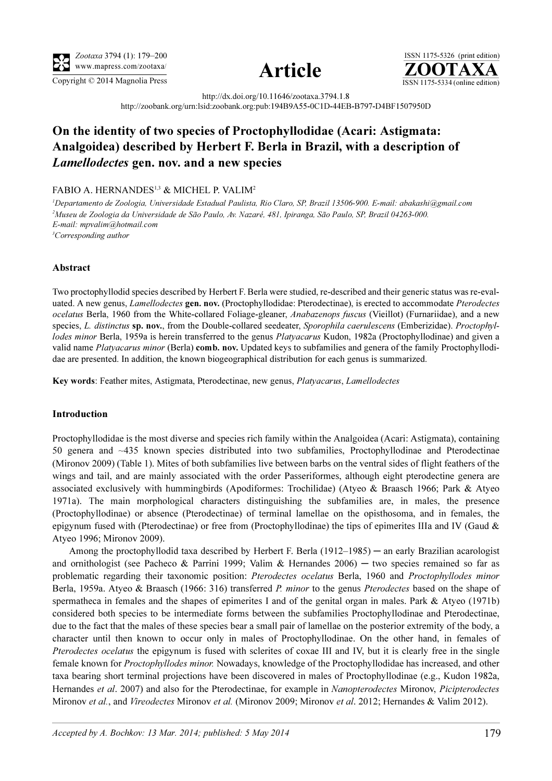





http://dx.doi.org/10.11646/zootaxa.3794.1.8 http://zoobank.org/urn:lsid:zoobank.org:pub:194B9A55-0C1D-44EB-B797-D4BF1507950D

# On the identity of two species of Proctophyllodidae (Acari: Astigmata: Analgoidea) described by Herbert F. Berla in Brazil, with a description of Lamellodectes gen. nov. and a new species

## FABIO A. HERNANDES<sup>1,3</sup> & MICHEL P. VALIM<sup>2</sup>

1 Departamento de Zoologia, Universidade Estadual Paulista, Rio Claro, SP, Brazil 13506-900. E-mail: abakashi@gmail.com 2 Museu de Zoologia da Universidade de São Paulo, Av. Nazaré, 481, Ipiranga, São Paulo, SP, Brazil 04263-000. E-mail: mpvalim@hotmail.com <sup>3</sup>Corresponding author

## Abstract

Two proctophyllodid species described by Herbert F. Berla were studied, re-described and their generic status was re-evaluated. A new genus, *Lamellodectes* gen. nov. (Proctophyllodidae: Pterodectinae), is erected to accommodate Pterodectes ocelatus Berla, 1960 from the White-collared Foliage-gleaner, Anabazenops fuscus (Vieillot) (Furnariidae), and a new species, L. distinctus sp. nov., from the Double-collared seedeater, Sporophila caerulescens (Emberizidae). Proctophyllodes minor Berla, 1959a is herein transferred to the genus Platyacarus Kudon, 1982a (Proctophyllodinae) and given a valid name Platyacarus minor (Berla) comb. nov. Updated keys to subfamilies and genera of the family Proctophyllodidae are presented. In addition, the known biogeographical distribution for each genus is summarized.

Key words: Feather mites, Astigmata, Pterodectinae, new genus, Platyacarus, Lamellodectes

### Introduction

Proctophyllodidae is the most diverse and species rich family within the Analgoidea (Acari: Astigmata), containing 50 genera and ~435 known species distributed into two subfamilies, Proctophyllodinae and Pterodectinae (Mironov 2009) (Table 1). Mites of both subfamilies live between barbs on the ventral sides of flight feathers of the wings and tail, and are mainly associated with the order Passeriformes, although eight pterodectine genera are associated exclusively with hummingbirds (Apodiformes: Trochilidae) (Atyeo & Braasch 1966; Park & Atyeo 1971a). The main morphological characters distinguishing the subfamilies are, in males, the presence (Proctophyllodinae) or absence (Pterodectinae) of terminal lamellae on the opisthosoma, and in females, the epigynum fused with (Pterodectinae) or free from (Proctophyllodinae) the tips of epimerites IIIa and IV (Gaud & Atyeo 1996; Mironov 2009).

Among the proctophyllodid taxa described by Herbert F. Berla  $(1912-1985)$  — an early Brazilian acarologist and ornithologist (see Pacheco & Parrini 1999; Valim & Hernandes  $2006$ ) — two species remained so far as problematic regarding their taxonomic position: Pterodectes ocelatus Berla, 1960 and Proctophyllodes minor Berla, 1959a. Atyeo & Braasch (1966: 316) transferred P. minor to the genus Pterodectes based on the shape of spermatheca in females and the shapes of epimerites I and of the genital organ in males. Park & Atyeo (1971b) considered both species to be intermediate forms between the subfamilies Proctophyllodinae and Pterodectinae, due to the fact that the males of these species bear a small pair of lamellae on the posterior extremity of the body, a character until then known to occur only in males of Proctophyllodinae. On the other hand, in females of Pterodectes ocelatus the epigynum is fused with sclerites of coxae III and IV, but it is clearly free in the single female known for Proctophyllodes minor. Nowadays, knowledge of the Proctophyllodidae has increased, and other taxa bearing short terminal projections have been discovered in males of Proctophyllodinae (e.g., Kudon 1982a, Hernandes et al. 2007) and also for the Pterodectinae, for example in Nanopterodectes Mironov, Picipterodectes Mironov et al., and Vireodectes Mironov et al. (Mironov 2009; Mironov et al. 2012; Hernandes & Valim 2012).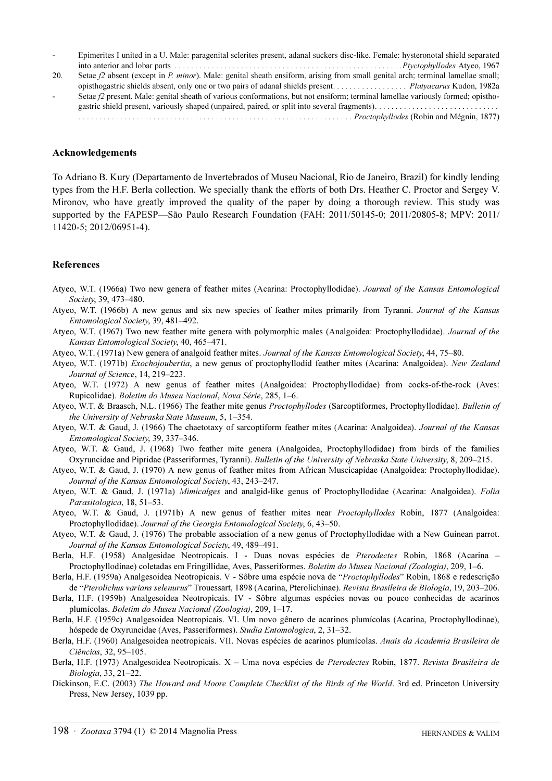|     | Epimerites I united in a U. Male: paragenital sclerites present, adanal suckers disc-like. Female: hysteronotal shield separated |  |
|-----|----------------------------------------------------------------------------------------------------------------------------------|--|
|     |                                                                                                                                  |  |
| 20. | Setae f2 absent (except in P. minor). Male: genital sheath ensiform, arising from small genital arch; terminal lamellae small;   |  |

opisthogastric shields absent, only one or two pairs of adanal shields present. . . . . . . . . . . . . . . . Platyacarus Kudon, 1982a Setae f2 present. Male: genital sheath of various conformations, but not ensiform; terminal lamellae variously formed; opisthogastric shield present, variously shaped (unpaired, paired, or split into several fragments). . . . . . . . . . . . . . . . . . . . . . . . . . . . . . . . . . . . . . . . . . . . . . . . . . . . . . . . . . . . . . . . . . . . . . . . . . . . . . . . . . . . . . . . . . . . . . . . Proctophyllodes (Robin and Mégnin, 1877)

#### Acknowledgements

To Adriano B. Kury (Departamento de Invertebrados of Museu Nacional, Rio de Janeiro, Brazil) for kindly lending types from the H.F. Berla collection. We specially thank the efforts of both Drs. Heather C. Proctor and Sergey V. Mironov, who have greatly improved the quality of the paper by doing a thorough review. This study was supported by the FAPESP—São Paulo Research Foundation (FAH: 2011/50145-0; 2011/20805-8; MPV: 2011/ 11420-5; 2012/06951-4).

### References

Atyeo, W.T. (1966a) Two new genera of feather mites (Acarina: Proctophyllodidae). Journal of the Kansas Entomological Society, 39, 473–480.

- Atyeo, W.T. (1966b) A new genus and six new species of feather mites primarily from Tyranni. Journal of the Kansas Entomological Society, 39, 481–492.
- Atyeo, W.T. (1967) Two new feather mite genera with polymorphic males (Analgoidea: Proctophyllodidae). Journal of the Kansas Entomological Society, 40, 465–471.
- Atyeo, W.T. (1971a) New genera of analgoid feather mites. Journal of the Kansas Entomological Society, 44, 75–80.
- Atyeo, W.T. (1971b) Exochojoubertia, a new genus of proctophyllodid feather mites (Acarina: Analgoidea). New Zealand Journal of Science, 14, 219–223.
- Atyeo, W.T. (1972) A new genus of feather mites (Analgoidea: Proctophyllodidae) from cocks-of-the-rock (Aves: Rupicolidae). Boletim do Museu Nacional, Nova Série, 285, 1–6.
- Atyeo, W.T. & Braasch, N.L. (1966) The feather mite genus *Proctophyllodes* (Sarcoptiformes, Proctophyllodidae). Bulletin of the University of Nebraska State Museum, 5, 1–354.
- Atyeo, W.T. & Gaud, J. (1966) The chaetotaxy of sarcoptiform feather mites (Acarina: Analgoidea). Journal of the Kansas Entomological Society, 39, 337–346.
- Atyeo, W.T. & Gaud, J. (1968) Two feather mite genera (Analgoidea, Proctophyllodidae) from birds of the families Oxyruncidae and Pipridae (Passeriformes, Tyranni). Bulletin of the University of Nebraska State University, 8, 209–215.
- Atyeo, W.T. & Gaud, J. (1970) A new genus of feather mites from African Muscicapidae (Analgoidea: Proctophyllodidae). Journal of the Kansas Entomological Society, 43, 243–247.
- Atyeo, W.T. & Gaud, J. (1971a) Mimicalges and analgid-like genus of Proctophyllodidae (Acarina: Analgoidea). Folia Parasitologica, 18, 51–53.
- Atyeo, W.T. & Gaud, J. (1971b) A new genus of feather mites near Proctophyllodes Robin, 1877 (Analgoidea: Proctophyllodidae). Journal of the Georgia Entomological Society, 6, 43–50.
- Atyeo, W.T. & Gaud, J. (1976) The probable association of a new genus of Proctophyllodidae with a New Guinean parrot. Journal of the Kansas Entomological Society, 49, 489–491.
- Berla, H.F. (1958) Analgesidae Neotropicais. I Duas novas espécies de Pterodectes Robin, 1868 (Acarina Proctophyllodinae) coletadas em Fringillidae, Aves, Passeriformes. Boletim do Museu Nacional (Zoologia), 209, 1–6.
- Berla, H.F. (1959a) Analgesoidea Neotropicais. V Sôbre uma espécie nova de "Proctophyllodes" Robin, 1868 e redescrição
- de "Pterolichus varians selenurus" Trouessart, 1898 (Acarina, Pterolichinae). Revista Brasileira de Biologia, 19, 203–206.
- Berla, H.F. (1959b) Analgesoidea Neotropicais. IV Sôbre algumas espécies novas ou pouco conhecidas de acarinos plumícolas. Boletim do Museu Nacional (Zoologia), 209, 1–17.
- Berla, H.F. (1959c) Analgesoidea Neotropicais. VI. Um novo gênero de acarinos plumícolas (Acarina, Proctophyllodinae), hóspede de Oxyruncidae (Aves, Passeriformes). Studia Entomologica, 2, 31–32.
- Berla, H.F. (1960) Analgesoidea neotropicais. VII. Novas espécies de acarinos plumícolas. Anais da Academia Brasileira de Ciências, 32, 95–105.
- Berla, H.F. (1973) Analgesoidea Neotropicais. X Uma nova espécies de Pterodectes Robin, 1877. Revista Brasileira de Biologia, 33, 21–22.
- Dickinson, E.C. (2003) The Howard and Moore Complete Checklist of the Birds of the World. 3rd ed. Princeton University Press, New Jersey, 1039 pp.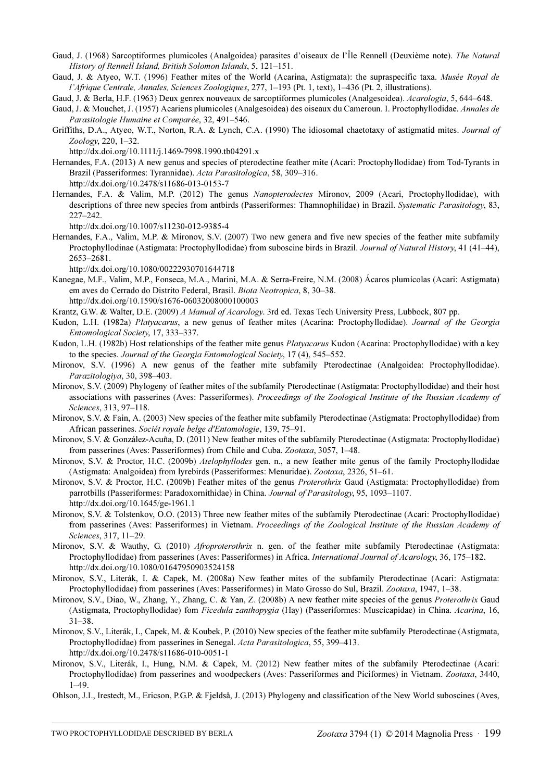- Gaud, J. (1968) Sarcoptiformes plumicoles (Analgoidea) parasites d'oiseaux de l'Île Rennell (Deuxième note). The Natural History of Rennell Island, British Solomon Islands, 5, 121–151.
- Gaud, J. & Atyeo, W.T. (1996) Feather mites of the World (Acarina, Astigmata): the supraspecific taxa. Musée Royal de l'Afrique Centrale, Annales, Sciences Zoologiques, 277, 1–193 (Pt. 1, text), 1–436 (Pt. 2, illustrations).

Gaud, J. & Berla, H.F. (1963) Deux genrex nouveaux de sarcoptiformes plumicoles (Analgesoidea). Acarologia, 5, 644–648.

- Gaud, J. & Mouchet, J. (1957) Acariens plumicoles (Analgesoidea) des oiseaux du Cameroun. I. Proctophyllodidae. Annales de Parasitologie Humaine et Comparée, 32, 491–546.
- Griffiths, D.A., Atyeo, W.T., Norton, R.A. & Lynch, C.A. (1990) The idiosomal chaetotaxy of astigmatid mites. Journal of Zoology[, 220, 1–32.](http://dx.doi.org/10.1111/j.1469-7998.1990.tb04291.x)

[h](http://dx.doi.org/10.1111/j.1469-7998.1990.tb04291.x)ttp://dx.doi.org/10.1111/j.1469-7998.1990.tb04291.x

- Hernandes, F.A. (2013) A new genus and species of pterodectine feather mite (Acari: Proctophyllodidae) from Tod-Tyrants in Brazil (Passeriformes: Tyrannidae). Acta Parasitologica[, 58, 309–316.](http://dx.doi.org/10.2478/s11686-013-0153-7) [h](http://dx.doi.org/10.2478/s11686-013-0153-7)ttp://dx.doi.org/10.2478/s11686-013-0153-7
- Hernandes, F.A. & Valim, M.P. (2012) The genus Nanopterodectes Mironov, 2009 (Acari, Proctophyllodidae), with descriptions of three new species from antbirds (Passeriformes: Thamnophilidae) in Brazil. Systematic Parasitology[, 83,](http://dx.doi.org/10.1007/s11230-012-9385-4) [227–242.](http://dx.doi.org/10.1007/s11230-012-9385-4)

[h](http://dx.doi.org/10.1007/s11230-012-9385-4)ttp://dx.doi.org/10.1007/s11230-012-9385-4

Hernandes, F.A., Valim, M.P. & Mironov, S.V. (2007) Two new genera and five new species of the feather mite subfamily Proctophyllodinae (Astigmata: Proctophyllodidae) from suboscine birds in Brazil. Journal of Natural History[, 41 \(41–44\),](http://dx.doi.org/10.1080/00222930701644718) [2653–2681.](http://dx.doi.org/10.1080/00222930701644718)

[h](http://dx.doi.org/10.1080/00222930701644718)ttp://dx.doi.org/10.1080/00222930701644718

Kanegae, M.F., Valim, M.P., Fonseca, M.A., Marini, M.A. & Serra-Freire, N.M. (2008) Ácaros plumícolas (Acari: Astigmata) em aves do Cerrado do Distrito Federal, Brasil. Biota Neotropica[, 8, 30–38.](http://dx.doi.org/10.1590/s1676-06032008000100003) [h](http://dx.doi.org/10.1590/s1676-06032008000100003)ttp://dx.doi.org/10.1590/s1676-06032008000100003

Krantz, G.W. & Walter, D.E. (2009) A Manual of Acarology. 3rd ed. Texas Tech University Press, Lubbock, 807 pp.

- Kudon, L.H. (1982a) Platyacarus, a new genus of feather mites (Acarina: Proctophyllodidae). Journal of the Georgia Entomological Society, 17, 333–337.
- Kudon, L.H. (1982b) Host relationships of the feather mite genus Platyacarus Kudon (Acarina: Proctophyllodidae) with a key to the species. Journal of the Georgia Entomological Society, 17 (4), 545–552.
- Mironov, S.V. (1996) A new genus of the feather mite subfamily Pterodectinae (Analgoidea: Proctophyllodidae). Parazitologiya, 30, 398–403.
- Mironov, S.V. (2009) Phylogeny of feather mites of the subfamily Pterodectinae (Astigmata: Proctophyllodidae) and their host associations with passerines (Aves: Passeriformes). Proceedings of the Zoological Institute of the Russian Academy of Sciences, 313, 97–118.
- Mironov, S.V. & Fain, A. (2003) New species of the feather mite subfamily Pterodectinae (Astigmata: Proctophyllodidae) from African passerines. Sociét royale belge d'Entomologie, 139, 75–91.
- Mironov, S.V. & González-Acuña, D. (2011) New feather mites of the subfamily Pterodectinae (Astigmata: Proctophyllodidae) from passerines (Aves: Passeriformes) from Chile and Cuba. Zootaxa, 3057, 1–48.
- Mironov, S.V. & Proctor, H.C. (2009b) *Atelophyllodes* gen. n., a new feather mite genus of the family Proctophyllodidae (Astigmata: Analgoidea) from lyrebirds (Passeriformes: Menuridae). Zootaxa, 2326, 51–61.
- Mironov, S.V. & Proctor, H.C. (2009b) Feather mites of the genus Proterothrix Gaud (Astigmata: Proctophyllodidae) from parrotbills (Passeriformes: Paradoxornithidae) in China. Journal of Parasitology[, 95, 1093–1107.](http://dx.doi.org/10.1645/ge-1961.1) [h](http://dx.doi.org/10.1645/ge-1961.1)ttp://dx.doi.org/10.1645/ge-1961.1
- Mironov, S.V. & Tolstenkov, O.O. (2013) Three new feather mites of the subfamily Pterodectinae (Acari: Proctophyllodidae) from passerines (Aves: Passeriformes) in Vietnam. Proceedings of the Zoological Institute of the Russian Academy of Sciences, 317, 11–29.
- Mironov, S.V. & Wauthy, G. (2010) *Afroproterothrix* n. gen. of the feather mite subfamily Pterodectinae (Astigmata: Proctophyllodidae) from passerines (Aves: Passeriformes) in Africa. International Journal of Acarology[, 36, 175–182.](http://dx.doi.org/10.1080/01647950903524158) [h](http://dx.doi.org/10.1080/01647950903524158)ttp://dx.doi.org/10.1080/01647950903524158
- Mironov, S.V., Literák, I. & Capek, M. (2008a) New feather mites of the subfamily Pterodectinae (Acari: Astigmata: Proctophyllodidae) from passerines (Aves: Passeriformes) in Mato Grosso do Sul, Brazil. Zootaxa, 1947, 1–38.
- Mironov, S.V., Diao, W., Zhang, Y., Zhang, C. & Yan, Z. (2008b) A new feather mite species of the genus Proterothrix Gaud (Astigmata, Proctophyllodidae) fom Ficedula zanthopygia (Hay) (Passeriformes: Muscicapidae) in China. Acarina, 16, 31–38.
- Mironov, S.V., Literák, I., Capek, M. & Koubek, P. (2010) New species of the feather mite subfamily Pterodectinae (Astigmata, Proctophyllodidae) from passerines in Senegal. Acta Parasitologica[, 55, 399–413.](http://dx.doi.org/10.2478/s11686-010-0051-) [h](http://dx.doi.org/10.2478/s11686-010-0051-)ttp://dx.doi.org/10.2478/s11686-010-0051-1
- Mironov, S.V., Literák, I., Hung, N.M. & Capek, M. (2012) New feather mites of the subfamily Pterodectinae (Acari: Proctophyllodidae) from passerines and woodpeckers (Aves: Passeriformes and Piciformes) in Vietnam. Zootaxa, 3440, 1–49.
- Ohlson, J.I., Irestedt, M., Ericson, P.G.P. & Fjeldså, J. (2013) Phylogeny and classification of the New World suboscines (Aves,